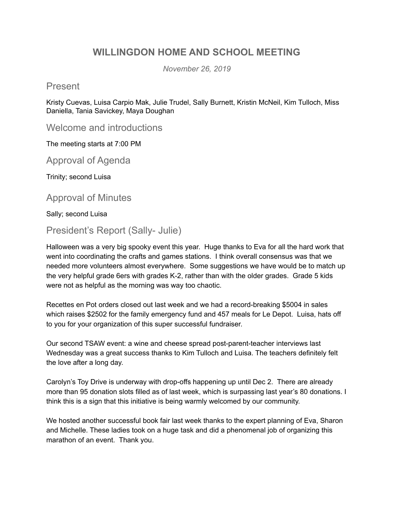## **WILLINGDON HOME AND SCHOOL MEETING**

*November 26, 2019*

Present

Kristy Cuevas, Luisa Carpio Mak, Julie Trudel, Sally Burnett, Kristin McNeil, Kim Tulloch, Miss Daniella, Tania Savickey, Maya Doughan

Welcome and introductions

The meeting starts at 7:00 PM

Approval of Agenda

Trinity; second Luisa

Approval of Minutes

Sally; second Luisa

President's Report (Sally- Julie)

Halloween was a very big spooky event this year. Huge thanks to Eva for all the hard work that went into coordinating the crafts and games stations. I think overall consensus was that we needed more volunteers almost everywhere. Some suggestions we have would be to match up the very helpful grade 6ers with grades K-2, rather than with the older grades. Grade 5 kids were not as helpful as the morning was way too chaotic.

Recettes en Pot orders closed out last week and we had a record-breaking \$5004 in sales which raises \$2502 for the family emergency fund and 457 meals for Le Depot. Luisa, hats off to you for your organization of this super successful fundraiser.

Our second TSAW event: a wine and cheese spread post-parent-teacher interviews last Wednesday was a great success thanks to Kim Tulloch and Luisa. The teachers definitely felt the love after a long day.

Carolyn's Toy Drive is underway with drop-offs happening up until Dec 2. There are already more than 95 donation slots filled as of last week, which is surpassing last year's 80 donations. I think this is a sign that this initiative is being warmly welcomed by our community.

We hosted another successful book fair last week thanks to the expert planning of Eva, Sharon and Michelle. These ladies took on a huge task and did a phenomenal job of organizing this marathon of an event. Thank you.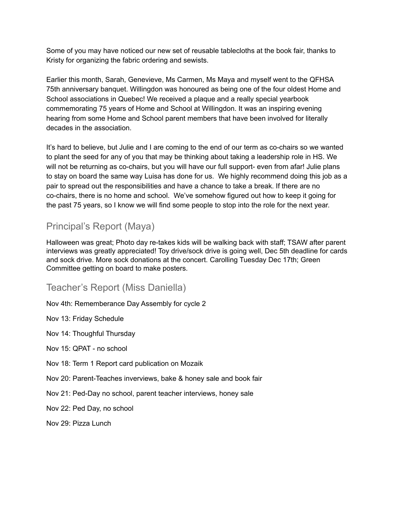Some of you may have noticed our new set of reusable tablecloths at the book fair, thanks to Kristy for organizing the fabric ordering and sewists.

Earlier this month, Sarah, Genevieve, Ms Carmen, Ms Maya and myself went to the QFHSA 75th anniversary banquet. Willingdon was honoured as being one of the four oldest Home and School associations in Quebec! We received a plaque and a really special yearbook commemorating 75 years of Home and School at Willingdon. It was an inspiring evening hearing from some Home and School parent members that have been involved for literally decades in the association.

It's hard to believe, but Julie and I are coming to the end of our term as co-chairs so we wanted to plant the seed for any of you that may be thinking about taking a leadership role in HS. We will not be returning as co-chairs, but you will have our full support- even from afar! Julie plans to stay on board the same way Luisa has done for us. We highly recommend doing this job as a pair to spread out the responsibilities and have a chance to take a break. If there are no co-chairs, there is no home and school. We've somehow figured out how to keep it going for the past 75 years, so I know we will find some people to stop into the role for the next year.

## Principal's Report (Maya)

Halloween was great; Photo day re-takes kids will be walking back with staff; TSAW after parent interviews was greatly appreciated! Toy drive/sock drive is going well, Dec 5th deadline for cards and sock drive. More sock donations at the concert. Carolling Tuesday Dec 17th; Green Committee getting on board to make posters.

#### Teacher's Report (Miss Daniella)

Nov 4th: Rememberance Day Assembly for cycle 2

Nov 13: Friday Schedule

Nov 14: Thoughful Thursday

Nov 15: QPAT - no school

- Nov 18: Term 1 Report card publication on Mozaik
- Nov 20: Parent-Teaches inverviews, bake & honey sale and book fair
- Nov 21: Ped-Day no school, parent teacher interviews, honey sale
- Nov 22: Ped Day, no school

Nov 29: Pizza Lunch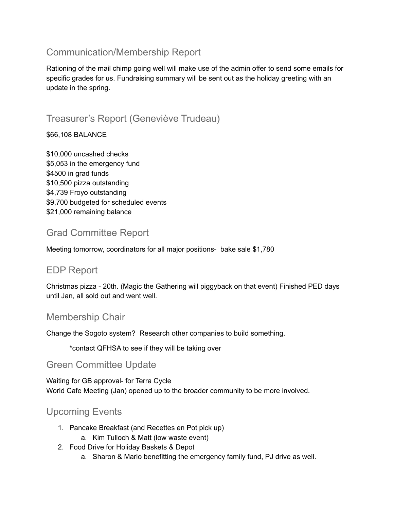## Communication/Membership Report

Rationing of the mail chimp going well will make use of the admin offer to send some emails for specific grades for us. Fundraising summary will be sent out as the holiday greeting with an update in the spring.

# Treasurer's Report (Geneviève Trudeau)

\$66,108 BALANCE

\$10,000 uncashed checks \$5,053 in the emergency fund \$4500 in grad funds \$10,500 pizza outstanding \$4,739 Froyo outstanding \$9,700 budgeted for scheduled events \$21,000 remaining balance

# Grad Committee Report

Meeting tomorrow, coordinators for all major positions- bake sale \$1,780

### EDP Report

Christmas pizza - 20th. (Magic the Gathering will piggyback on that event) Finished PED days until Jan, all sold out and went well.

### Membership Chair

Change the Sogoto system? Research other companies to build something.

\*contact QFHSA to see if they will be taking over

### Green Committee Update

Waiting for GB approval- for Terra Cycle World Cafe Meeting (Jan) opened up to the broader community to be more involved.

## Upcoming Events

- 1. Pancake Breakfast (and Recettes en Pot pick up)
	- a. Kim Tulloch & Matt (low waste event)
- 2. Food Drive for Holiday Baskets & Depot
	- a. Sharon & Marlo benefitting the emergency family fund, PJ drive as well.